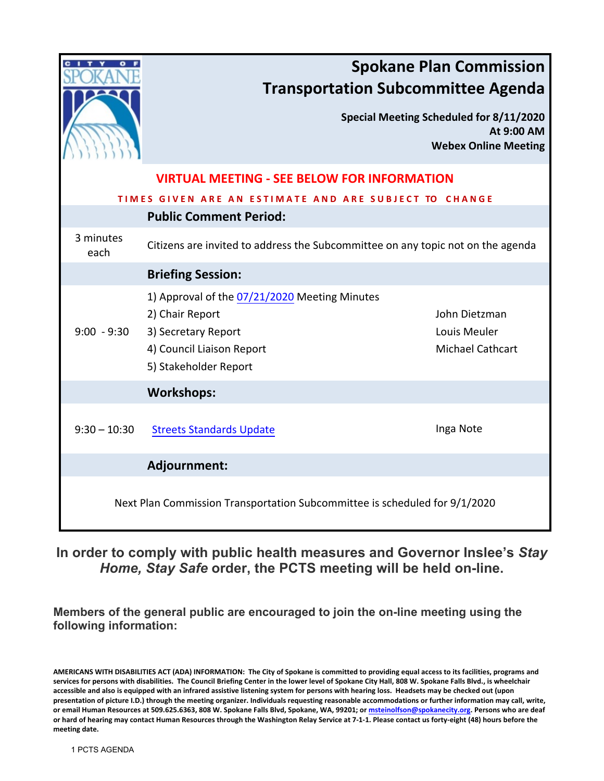|                                                                            | <b>Spokane Plan Commission</b><br><b>Transportation Subcommittee Agenda</b><br>Special Meeting Scheduled for 8/11/2020<br>At 9:00 AM<br><b>Webex Online Meeting</b>                                       |
|----------------------------------------------------------------------------|-----------------------------------------------------------------------------------------------------------------------------------------------------------------------------------------------------------|
|                                                                            | <b>VIRTUAL MEETING - SEE BELOW FOR INFORMATION</b>                                                                                                                                                        |
|                                                                            | TIMES GIVEN ARE AN ESTIMATE AND ARE SUBJECT TO CHANGE                                                                                                                                                     |
|                                                                            | <b>Public Comment Period:</b>                                                                                                                                                                             |
| 3 minutes<br>each                                                          | Citizens are invited to address the Subcommittee on any topic not on the agenda                                                                                                                           |
|                                                                            | <b>Briefing Session:</b>                                                                                                                                                                                  |
| $9:00 - 9:30$                                                              | 1) Approval of the 07/21/2020 Meeting Minutes<br>2) Chair Report<br>John Dietzman<br>3) Secretary Report<br>Louis Meuler<br>4) Council Liaison Report<br><b>Michael Cathcart</b><br>5) Stakeholder Report |
|                                                                            | <b>Workshops:</b>                                                                                                                                                                                         |
| $9:30 - 10:30$                                                             | Inga Note<br><b>Streets Standards Update</b>                                                                                                                                                              |
|                                                                            | Adjournment:                                                                                                                                                                                              |
| Next Plan Commission Transportation Subcommittee is scheduled for 9/1/2020 |                                                                                                                                                                                                           |

## **In order to comply with public health measures and Governor Inslee's** *Stay Home, Stay Safe* **order, the PCTS meeting will be held on-line.**

**Members of the general public are encouraged to join the on-line meeting using the following information:**

**AMERICANS WITH DISABILITIES ACT (ADA) INFORMATION: The City of Spokane is committed to providing equal access to its facilities, programs and services for persons with disabilities. The Council Briefing Center in the lower level of Spokane City Hall, 808 W. Spokane Falls Blvd., is wheelchair accessible and also is equipped with an infrared assistive listening system for persons with hearing loss. Headsets may be checked out (upon presentation of picture I.D.) through the meeting organizer. Individuals requesting reasonable accommodations or further information may call, write, or email Human Resources at 509.625.6363, 808 W. Spokane Falls Blvd, Spokane, WA, 99201; o[r msteinolfson@spokanecity.org.](mailto:msteinolfson@spokanecity.org) Persons who are deaf or hard of hearing may contact Human Resources through the Washington Relay Service at 7-1-1. Please contact us forty-eight (48) hours before the meeting date.**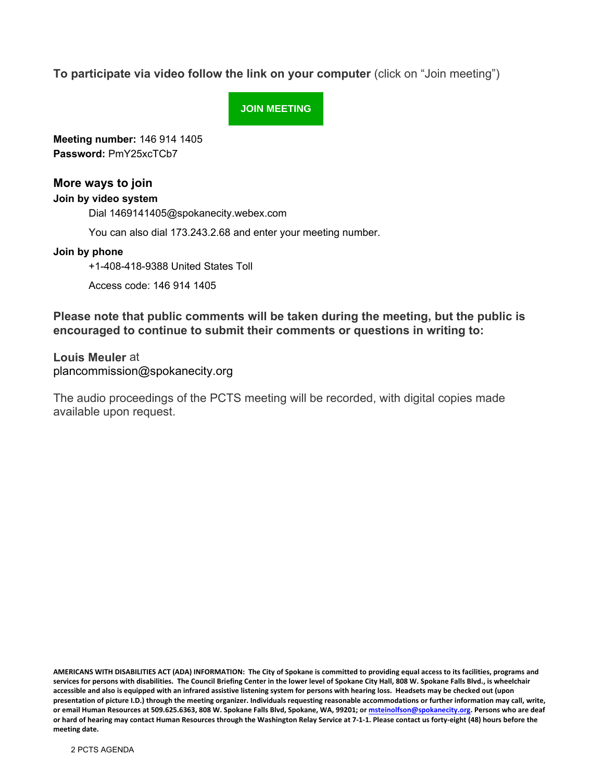**To participate via video follow the link on your computer** (click on "Join meeting")

**[JOIN MEETING](https://spokanecity.webex.com/spokanecity/j.php?MTID=m43e800a6e6b27b46b96ece2ff69fda77)**

**Meeting number:** 146 914 1405 **Password:** PmY25xcTCb7

### **More ways to join**

#### **Join by video system**

Dial 1469141405@spokanecity.webex.com

You can also dial 173.243.2.68 and enter your meeting number.

#### **Join by phone**

+1-408-418-9388 United States Toll

Access code: 146 914 1405

**Please note that public comments will be taken during the meeting, but the public is encouraged to continue to submit their comments or questions in writing to:**

**Louis Meuler** at plancommission@spokanecity.org

The audio proceedings of the PCTS meeting will be recorded, with digital copies made available upon request.

**AMERICANS WITH DISABILITIES ACT (ADA) INFORMATION: The City of Spokane is committed to providing equal access to its facilities, programs and services for persons with disabilities. The Council Briefing Center in the lower level of Spokane City Hall, 808 W. Spokane Falls Blvd., is wheelchair accessible and also is equipped with an infrared assistive listening system for persons with hearing loss. Headsets may be checked out (upon presentation of picture I.D.) through the meeting organizer. Individuals requesting reasonable accommodations or further information may call, write, or email Human Resources at 509.625.6363, 808 W. Spokane Falls Blvd, Spokane, WA, 99201; o[r msteinolfson@spokanecity.org.](mailto:msteinolfson@spokanecity.org) Persons who are deaf or hard of hearing may contact Human Resources through the Washington Relay Service at 7-1-1. Please contact us forty-eight (48) hours before the meeting date.**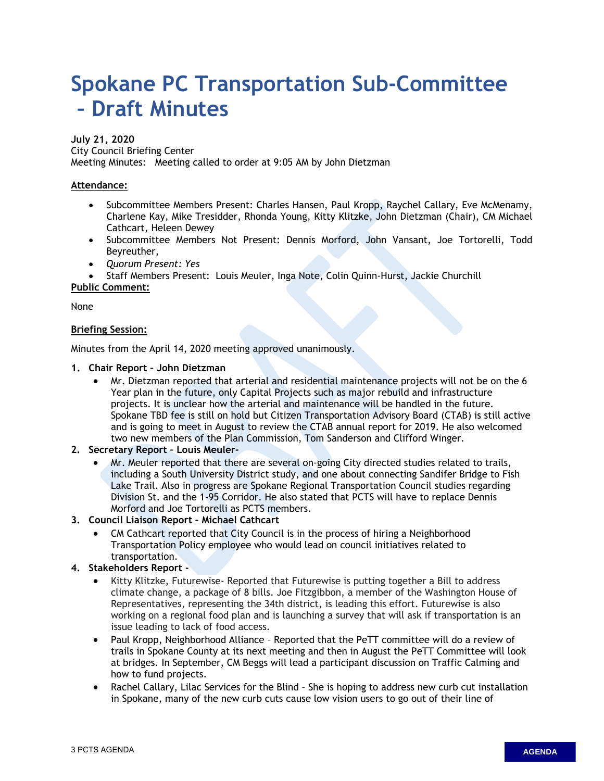# <span id="page-2-0"></span>**Spokane PC Transportation Sub-Committee – Draft Minutes**

#### **July 21, 2020**

City Council Briefing Center

Meeting Minutes: Meeting called to order at 9:05 AM by John Dietzman

#### **Attendance:**

- Subcommittee Members Present: Charles Hansen, Paul Kropp, Raychel Callary, Eve McMenamy, Charlene Kay, Mike Tresidder, Rhonda Young, Kitty Klitzke, John Dietzman (Chair), CM Michael Cathcart, Heleen Dewey
- Subcommittee Members Not Present: Dennis Morford, John Vansant, Joe Tortorelli, Todd Beyreuther,
- *Quorum Present: Yes*

• Staff Members Present: Louis Meuler, Inga Note, Colin Quinn-Hurst, Jackie Churchill

#### **Public Comment:**

None

#### **Briefing Session:**

Minutes from the April 14, 2020 meeting approved unanimously.

#### **1. Chair Report – John Dietzman**

- Mr. Dietzman reported that arterial and residential maintenance projects will not be on the 6 Year plan in the future, only Capital Projects such as major rebuild and infrastructure projects. It is unclear how the arterial and maintenance will be handled in the future. Spokane TBD fee is still on hold but Citizen Transportation Advisory Board (CTAB) is still active and is going to meet in August to review the CTAB annual report for 2019. He also welcomed two new members of the Plan Commission, Tom Sanderson and Clifford Winger.
- **2. Secretary Report Louis Meuler-**
	- Mr. Meuler reported that there are several on-going City directed studies related to trails, including a South University District study, and one about connecting Sandifer Bridge to Fish Lake Trail. Also in progress are Spokane Regional Transportation Council studies regarding Division St. and the 1-95 Corridor. He also stated that PCTS will have to replace Dennis Morford and Joe Tortorelli as PCTS members.
- **3. Council Liaison Report Michael Cathcart**
	- CM Cathcart reported that City Council is in the process of hiring a Neighborhood Transportation Policy employee who would lead on council initiatives related to transportation.

#### **4. Stakeholders Report -**

- Kitty Klitzke, Futurewise- Reported that Futurewise is putting together a Bill to address climate change, a package of 8 bills. Joe Fitzgibbon, a member of the Washington House of Representatives, representing the 34th district, is leading this effort. Futurewise is also working on a regional food plan and is launching a survey that will ask if transportation is an issue leading to lack of food access.
- Paul Kropp, Neighborhood Alliance Reported that the PeTT committee will do a review of trails in Spokane County at its next meeting and then in August the PeTT Committee will look at bridges. In September, CM Beggs will lead a participant discussion on Traffic Calming and how to fund projects.
- Rachel Callary, Lilac Services for the Blind She is hoping to address new curb cut installation in Spokane, many of the new curb cuts cause low vision users to go out of their line of